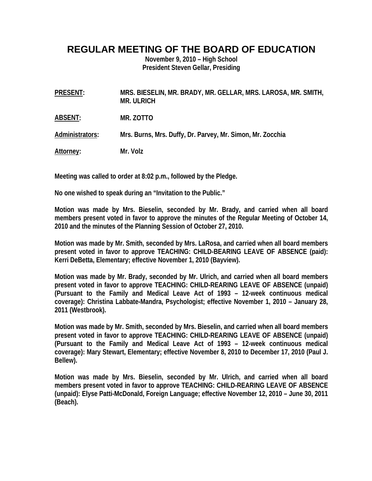## **REGULAR MEETING OF THE BOARD OF EDUCATION**

**November 9, 2010 – High School President Steven Gellar, Presiding** 

| PRESENT:        | MRS. BIESELIN, MR. BRADY, MR. GELLAR, MRS. LAROSA, MR. SMITH,<br><b>MR. ULRICH</b> |
|-----------------|------------------------------------------------------------------------------------|
| ABSENT:         | MR. ZOTTO                                                                          |
| Administrators: | Mrs. Burns, Mrs. Duffy, Dr. Parvey, Mr. Simon, Mr. Zocchia                         |
| Attorney:       | Mr. Volz                                                                           |

**Meeting was called to order at 8:02 p.m., followed by the Pledge.** 

**No one wished to speak during an "Invitation to the Public."** 

**Motion was made by Mrs. Bieselin, seconded by Mr. Brady, and carried when all board members present voted in favor to approve the minutes of the Regular Meeting of October 14, 2010 and the minutes of the Planning Session of October 27, 2010.** 

**Motion was made by Mr. Smith, seconded by Mrs. LaRosa, and carried when all board members present voted in favor to approve TEACHING: CHILD-BEARING LEAVE OF ABSENCE (paid): Kerri DeBetta, Elementary; effective November 1, 2010 (Bayview).** 

**Motion was made by Mr. Brady, seconded by Mr. Ulrich, and carried when all board members present voted in favor to approve TEACHING: CHILD-REARING LEAVE OF ABSENCE (unpaid) (Pursuant to the Family and Medical Leave Act of 1993 – 12-week continuous medical coverage): Christina Labbate-Mandra, Psychologist; effective November 1, 2010 – January 28, 2011 (Westbrook).** 

**Motion was made by Mr. Smith, seconded by Mrs. Bieselin, and carried when all board members present voted in favor to approve TEACHING: CHILD-REARING LEAVE OF ABSENCE (unpaid) (Pursuant to the Family and Medical Leave Act of 1993 – 12-week continuous medical coverage): Mary Stewart, Elementary; effective November 8, 2010 to December 17, 2010 (Paul J. Bellew).** 

**Motion was made by Mrs. Bieselin, seconded by Mr. Ulrich, and carried when all board members present voted in favor to approve TEACHING: CHILD-REARING LEAVE OF ABSENCE (unpaid): Elyse Patti-McDonald, Foreign Language; effective November 12, 2010 – June 30, 2011 (Beach).**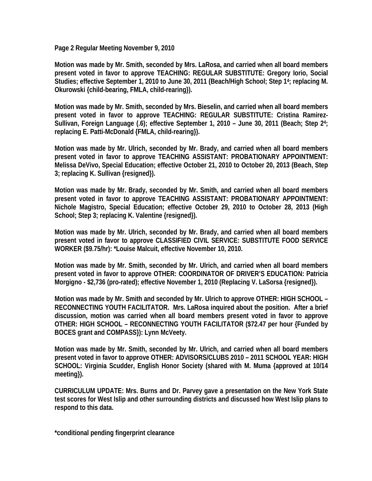**Page 2 Regular Meeting November 9, 2010** 

**Motion was made by Mr. Smith, seconded by Mrs. LaRosa, and carried when all board members present voted in favor to approve TEACHING: REGULAR SUBSTITUTE: Gregory Iorio, Social Studies; effective September 1, 2010 to June 30, 2011 (Beach/High School; Step 14; replacing M. Okurowski {child-bearing, FMLA, child-rearing}).** 

**Motion was made by Mr. Smith, seconded by Mrs. Bieselin, and carried when all board members present voted in favor to approve TEACHING: REGULAR SUBSTITUTE: Cristina Ramirez-Sullivan, Foreign Language (.6); effective September 1, 2010 – June 30, 2011 (Beach; Step 24; replacing E. Patti-McDonald {FMLA, child-rearing}).** 

**Motion was made by Mr. Ulrich, seconded by Mr. Brady, and carried when all board members present voted in favor to approve TEACHING ASSISTANT: PROBATIONARY APPOINTMENT: Melissa DeVivo, Special Education; effective October 21, 2010 to October 20, 2013 (Beach, Step 3; replacing K. Sullivan {resigned}).** 

**Motion was made by Mr. Brady, seconded by Mr. Smith, and carried when all board members present voted in favor to approve TEACHING ASSISTANT: PROBATIONARY APPOINTMENT: Nichole Magistro, Special Education; effective October 29, 2010 to October 28, 2013 (High School; Step 3; replacing K. Valentine {resigned}).** 

**Motion was made by Mr. Ulrich, seconded by Mr. Brady, and carried when all board members present voted in favor to approve CLASSIFIED CIVIL SERVICE: SUBSTITUTE FOOD SERVICE WORKER (\$9.75/hr): \*Louise Malcuit, effective November 10, 2010.** 

**Motion was made by Mr. Smith, seconded by Mr. Ulrich, and carried when all board members present voted in favor to approve OTHER: COORDINATOR OF DRIVER'S EDUCATION: Patricia Morgigno - \$2,736 (pro-rated); effective November 1, 2010 (Replacing V. LaSorsa {resigned}).** 

**Motion was made by Mr. Smith and seconded by Mr. Ulrich to approve OTHER: HIGH SCHOOL – RECONNECTING YOUTH FACILITATOR. Mrs. LaRosa inquired about the position. After a brief discussion, motion was carried when all board members present voted in favor to approve OTHER: HIGH SCHOOL – RECONNECTING YOUTH FACILITATOR (\$72.47 per hour {Funded by BOCES grant and COMPASS}): Lynn McVeety.** 

**Motion was made by Mr. Smith, seconded by Mr. Ulrich, and carried when all board members present voted in favor to approve OTHER: ADVISORS/CLUBS 2010 – 2011 SCHOOL YEAR: HIGH SCHOOL: Virginia Scudder, English Honor Society (shared with M. Muma {approved at 10/14 meeting}).** 

**CURRICULUM UPDATE: Mrs. Burns and Dr. Parvey gave a presentation on the New York State test scores for West Islip and other surrounding districts and discussed how West Islip plans to respond to this data.** 

**\*conditional pending fingerprint clearance**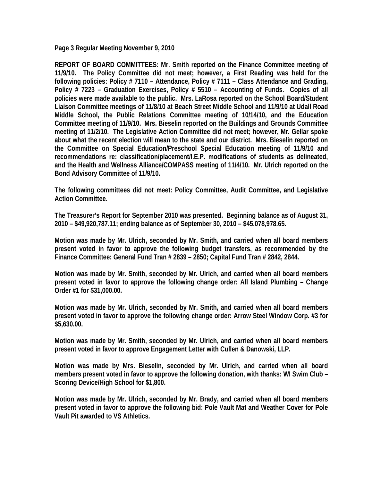**Page 3 Regular Meeting November 9, 2010** 

**REPORT OF BOARD COMMITTEES: Mr. Smith reported on the Finance Committee meeting of 11/9/10. The Policy Committee did not meet; however, a First Reading was held for the following policies: Policy # 7110 – Attendance, Policy # 7111 – Class Attendance and Grading, Policy # 7223 – Graduation Exercises, Policy # 5510 – Accounting of Funds. Copies of all policies were made available to the public. Mrs. LaRosa reported on the School Board/Student Liaison Committee meetings of 11/8/10 at Beach Street Middle School and 11/9/10 at Udall Road Middle School, the Public Relations Committee meeting of 10/14/10, and the Education Committee meeting of 11/9/10. Mrs. Bieselin reported on the Buildings and Grounds Committee meeting of 11/2/10. The Legislative Action Committee did not meet; however, Mr. Gellar spoke about what the recent election will mean to the state and our district. Mrs. Bieselin reported on the Committee on Special Education/Preschool Special Education meeting of 11/9/10 and recommendations re: classification/placement/I.E.P. modifications of students as delineated, and the Health and Wellness Alliance/COMPASS meeting of 11/4/10. Mr. Ulrich reported on the Bond Advisory Committee of 11/9/10.** 

**The following committees did not meet: Policy Committee, Audit Committee, and Legislative Action Committee.** 

**The Treasurer's Report for September 2010 was presented. Beginning balance as of August 31, 2010 – \$49,920,787.11; ending balance as of September 30, 2010 – \$45,078,978.65.** 

**Motion was made by Mr. Ulrich, seconded by Mr. Smith, and carried when all board members present voted in favor to approve the following budget transfers, as recommended by the Finance Committee: General Fund Tran # 2839 – 2850; Capital Fund Tran # 2842, 2844.** 

**Motion was made by Mr. Smith, seconded by Mr. Ulrich, and carried when all board members present voted in favor to approve the following change order: All Island Plumbing – Change Order #1 for \$31,000.00.** 

**Motion was made by Mr. Ulrich, seconded by Mr. Smith, and carried when all board members present voted in favor to approve the following change order: Arrow Steel Window Corp. #3 for \$5,630.00.** 

**Motion was made by Mr. Smith, seconded by Mr. Ulrich, and carried when all board members present voted in favor to approve Engagement Letter with Cullen & Danowski, LLP.** 

**Motion was made by Mrs. Bieselin, seconded by Mr. Ulrich, and carried when all board members present voted in favor to approve the following donation, with thanks: WI Swim Club – Scoring Device/High School for \$1,800.** 

**Motion was made by Mr. Ulrich, seconded by Mr. Brady, and carried when all board members present voted in favor to approve the following bid: Pole Vault Mat and Weather Cover for Pole Vault Pit awarded to VS Athletics.**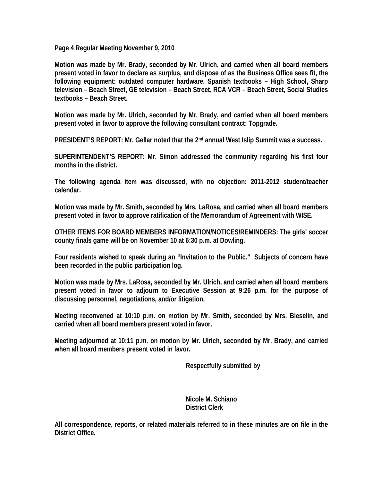**Page 4 Regular Meeting November 9, 2010** 

**Motion was made by Mr. Brady, seconded by Mr. Ulrich, and carried when all board members present voted in favor to declare as surplus, and dispose of as the Business Office sees fit, the following equipment: outdated computer hardware, Spanish textbooks – High School, Sharp television – Beach Street, GE television – Beach Street, RCA VCR – Beach Street, Social Studies textbooks – Beach Street.** 

**Motion was made by Mr. Ulrich, seconded by Mr. Brady, and carried when all board members present voted in favor to approve the following consultant contract: Topgrade.** 

PRESIDENT'S REPORT: Mr. Gellar noted that the 2<sup>nd</sup> annual West Islip Summit was a success.

**SUPERINTENDENT'S REPORT: Mr. Simon addressed the community regarding his first four months in the district.** 

**The following agenda item was discussed, with no objection: 2011-2012 student/teacher calendar.** 

**Motion was made by Mr. Smith, seconded by Mrs. LaRosa, and carried when all board members present voted in favor to approve ratification of the Memorandum of Agreement with WISE.** 

**OTHER ITEMS FOR BOARD MEMBERS INFORMATION/NOTICES/REMINDERS: The girls' soccer county finals game will be on November 10 at 6:30 p.m. at Dowling.** 

**Four residents wished to speak during an "Invitation to the Public." Subjects of concern have been recorded in the public participation log.** 

**Motion was made by Mrs. LaRosa, seconded by Mr. Ulrich, and carried when all board members present voted in favor to adjourn to Executive Session at 9:26 p.m. for the purpose of discussing personnel, negotiations, and/or litigation.** 

**Meeting reconvened at 10:10 p.m. on motion by Mr. Smith, seconded by Mrs. Bieselin, and carried when all board members present voted in favor.** 

**Meeting adjourned at 10:11 p.m. on motion by Mr. Ulrich, seconded by Mr. Brady, and carried when all board members present voted in favor.** 

 **Respectfully submitted by** 

 **Nicole M. Schiano District Clerk** 

**All correspondence, reports, or related materials referred to in these minutes are on file in the District Office.**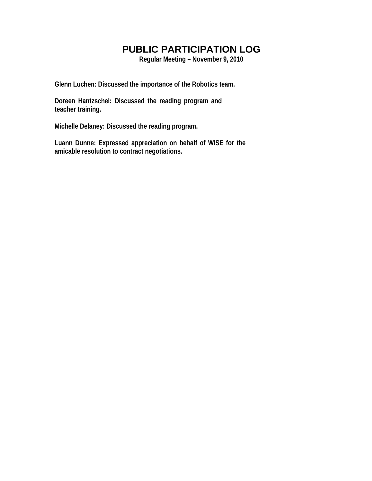# **PUBLIC PARTICIPATION LOG**

**Regular Meeting – November 9, 2010** 

**Glenn Luchen: Discussed the importance of the Robotics team.** 

**Doreen Hantzschel: Discussed the reading program and teacher training.** 

**Michelle Delaney: Discussed the reading program.** 

**Luann Dunne: Expressed appreciation on behalf of WISE for the amicable resolution to contract negotiations.**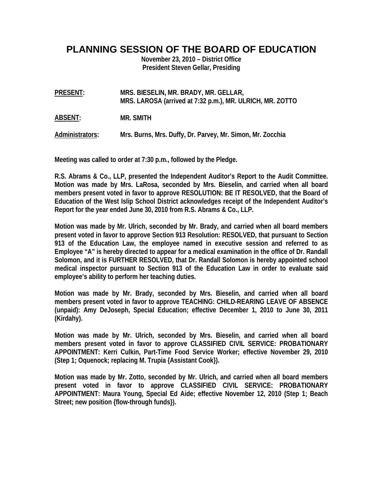**PLANNING SESSION OF THE BOARD OF EDUCATION** 

**November 23, 2010 – District Office President Steven Gellar, Presiding** 

**PRESENT: MRS. BIESELIN, MR. BRADY, MR. GELLAR, MRS. LAROSA (arrived at 7:32 p.m.), MR. ULRICH, MR. ZOTTO** 

**ABSENT: MR. SMITH** 

**Administrators: Mrs. Burns, Mrs. Duffy, Dr. Parvey, Mr. Simon, Mr. Zocchia** 

**Meeting was called to order at 7:30 p.m., followed by the Pledge.** 

**R.S. Abrams & Co., LLP, presented the Independent Auditor's Report to the Audit Committee. Motion was made by Mrs. LaRosa, seconded by Mrs. Bieselin, and carried when all board members present voted in favor to approve RESOLUTION: BE IT RESOLVED, that the Board of Education of the West Islip School District acknowledges receipt of the Independent Auditor's Report for the year ended June 30, 2010 from R.S. Abrams & Co., LLP.** 

**Motion was made by Mr. Ulrich, seconded by Mr. Brady, and carried when all board members present voted in favor to approve Section 913 Resolution: RESOLVED, that pursuant to Section 913 of the Education Law, the employee named in executive session and referred to as Employee "A" is hereby directed to appear for a medical examination in the office of Dr. Randall Solomon, and it is FURTHER RESOLVED, that Dr. Randall Solomon is hereby appointed school medical inspector pursuant to Section 913 of the Education Law in order to evaluate said employee's ability to perform her teaching duties.** 

**Motion was made by Mr. Brady, seconded by Mrs. Bieselin, and carried when all board members present voted in favor to approve TEACHING: CHILD-REARING LEAVE OF ABSENCE (unpaid): Amy DeJoseph, Special Education; effective December 1, 2010 to June 30, 2011 (Kirdahy).** 

**Motion was made by Mr. Ulrich, seconded by Mrs. Bieselin, and carried when all board members present voted in favor to approve CLASSIFIED CIVIL SERVICE: PROBATIONARY APPOINTMENT: Kerri Culkin, Part-Time Food Service Worker; effective November 29, 2010 (Step 1; Oquenock; replacing M. Trupia {Assistant Cook}).** 

**Motion was made by Mr. Zotto, seconded by Mr. Ulrich, and carried when all board members present voted in favor to approve CLASSIFIED CIVIL SERVICE: PROBATIONARY APPOINTMENT: Maura Young, Special Ed Aide; effective November 12, 2010 (Step 1; Beach Street; new position {flow-through funds}).**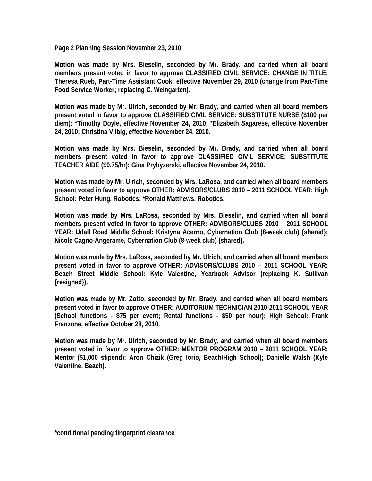**Page 2 Planning Session November 23, 2010** 

**Motion was made by Mrs. Bieselin, seconded by Mr. Brady, and carried when all board members present voted in favor to approve CLASSIFIED CIVIL SERVICE: CHANGE IN TITLE: Theresa Rueb, Part-Time Assistant Cook; effective November 29, 2010 (change from Part-Time Food Service Worker; replacing C. Weingarten).** 

**Motion was made by Mr. Ulrich, seconded by Mr. Brady, and carried when all board members present voted in favor to approve CLASSIFIED CIVIL SERVICE: SUBSTITUTE NURSE (\$100 per diem): \*Timothy Doyle, effective November 24, 2010; \*Elizabeth Sagarese, effective November 24, 2010; Christina Vilbig, effective November 24, 2010.** 

**Motion was made by Mrs. Bieselin, seconded by Mr. Brady, and carried when all board members present voted in favor to approve CLASSIFIED CIVIL SERVICE: SUBSTITUTE TEACHER AIDE (\$9.75/hr): Gina Prybyzerski, effective November 24, 2010.** 

**Motion was made by Mr. Ulrich, seconded by Mrs. LaRosa, and carried when all board members present voted in favor to approve OTHER: ADVISORS/CLUBS 2010 – 2011 SCHOOL YEAR: High School: Peter Hung, Robotics; \*Ronald Matthews, Robotics.** 

**Motion was made by Mrs. LaRosa, seconded by Mrs. Bieselin, and carried when all board members present voted in favor to approve OTHER: ADVISORS/CLUBS 2010 – 2011 SCHOOL YEAR: Udall Road Middle School: Kristyna Acerno, Cybernation Club (8-week club) {shared}; Nicole Cagno-Angerame, Cybernation Club (8-week club) {shared}.** 

**Motion was made by Mrs. LaRosa, seconded by Mr. Ulrich, and carried when all board members present voted in favor to approve OTHER: ADVISORS/CLUBS 2010 – 2011 SCHOOL YEAR: Beach Street Middle School: Kyle Valentine, Yearbook Advisor (replacing K. Sullivan {resigned}).** 

**Motion was made by Mr. Zotto, seconded by Mr. Brady, and carried when all board members present voted in favor to approve OTHER: AUDITORIUM TECHNICIAN 2010-2011 SCHOOL YEAR (School functions - \$75 per event; Rental functions - \$50 per hour): High School: Frank Franzone, effective October 28, 2010.** 

**Motion was made by Mr. Ulrich, seconded by Mr. Brady, and carried when all board members present voted in favor to approve OTHER: MENTOR PROGRAM 2010 – 2011 SCHOOL YEAR: Mentor (\$1,000 stipend): Aron Chizik (Greg Iorio, Beach/High School); Danielle Walsh (Kyle Valentine, Beach).**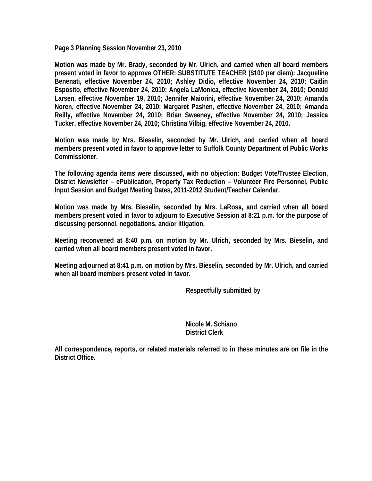**Page 3 Planning Session November 23, 2010** 

**Motion was made by Mr. Brady, seconded by Mr. Ulrich, and carried when all board members present voted in favor to approve OTHER: SUBSTITUTE TEACHER (\$100 per diem): Jacqueline Benenati, effective November 24, 2010; Ashley Didio, effective November 24, 2010; Caitlin Esposito, effective November 24, 2010; Angela LaMonica, effective November 24, 2010; Donald Larsen, effective November 19, 2010; Jennifer Maiorini, effective November 24, 2010; Amanda Noren, effective November 24, 2010; Margaret Pashen, effective November 24, 2010; Amanda Reilly, effective November 24, 2010; Brian Sweeney, effective November 24, 2010; Jessica Tucker, effective November 24, 2010; Christina Vilbig, effective November 24, 2010.** 

**Motion was made by Mrs. Bieselin, seconded by Mr. Ulrich, and carried when all board members present voted in favor to approve letter to Suffolk County Department of Public Works Commissioner.** 

**The following agenda items were discussed, with no objection: Budget Vote/Trustee Election, District Newsletter – ePublication, Property Tax Reduction – Volunteer Fire Personnel, Public Input Session and Budget Meeting Dates, 2011-2012 Student/Teacher Calendar.** 

**Motion was made by Mrs. Bieselin, seconded by Mrs. LaRosa, and carried when all board members present voted in favor to adjourn to Executive Session at 8:21 p.m. for the purpose of discussing personnel, negotiations, and/or litigation.** 

**Meeting reconvened at 8:40 p.m. on motion by Mr. Ulrich, seconded by Mrs. Bieselin, and carried when all board members present voted in favor.** 

**Meeting adjourned at 8:41 p.m. on motion by Mrs. Bieselin, seconded by Mr. Ulrich, and carried when all board members present voted in favor.** 

 **Respectfully submitted by** 

 **Nicole M. Schiano District Clerk** 

**All correspondence, reports, or related materials referred to in these minutes are on file in the District Office.**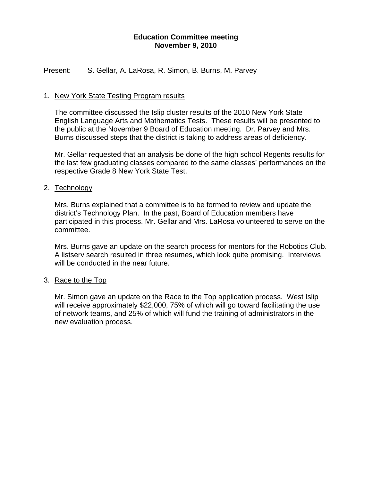#### **Education Committee meeting November 9, 2010**

Present: S. Gellar, A. LaRosa, R. Simon, B. Burns, M. Parvey

#### 1. New York State Testing Program results

The committee discussed the Islip cluster results of the 2010 New York State English Language Arts and Mathematics Tests. These results will be presented to the public at the November 9 Board of Education meeting. Dr. Parvey and Mrs. Burns discussed steps that the district is taking to address areas of deficiency.

Mr. Gellar requested that an analysis be done of the high school Regents results for the last few graduating classes compared to the same classes' performances on the respective Grade 8 New York State Test.

#### 2. Technology

Mrs. Burns explained that a committee is to be formed to review and update the district's Technology Plan. In the past, Board of Education members have participated in this process. Mr. Gellar and Mrs. LaRosa volunteered to serve on the committee.

Mrs. Burns gave an update on the search process for mentors for the Robotics Club. A listserv search resulted in three resumes, which look quite promising. Interviews will be conducted in the near future.

#### 3. Race to the Top

Mr. Simon gave an update on the Race to the Top application process. West Islip will receive approximately \$22,000, 75% of which will go toward facilitating the use of network teams, and 25% of which will fund the training of administrators in the new evaluation process.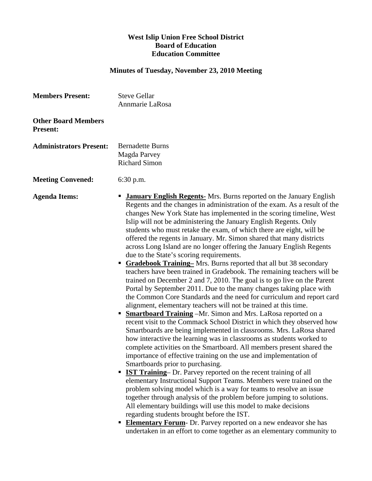#### **West Islip Union Free School District Board of Education Education Committee**

## **Minutes of Tuesday, November 23, 2010 Meeting**

| <b>Members Present:</b>                       | <b>Steve Gellar</b><br>Annmarie LaRosa                                                                                                                                                                                                                                                                                                                                                                                                                                                                                                                                                                                                                                                                                                                                                                                                                                                                                                                                                                                                                                                                                                                                                                                                                                                                                                                                                                                                                                                                                                                                                                                                                                                                                                                                                                                                                                                                                                                                                                                                                                                            |
|-----------------------------------------------|---------------------------------------------------------------------------------------------------------------------------------------------------------------------------------------------------------------------------------------------------------------------------------------------------------------------------------------------------------------------------------------------------------------------------------------------------------------------------------------------------------------------------------------------------------------------------------------------------------------------------------------------------------------------------------------------------------------------------------------------------------------------------------------------------------------------------------------------------------------------------------------------------------------------------------------------------------------------------------------------------------------------------------------------------------------------------------------------------------------------------------------------------------------------------------------------------------------------------------------------------------------------------------------------------------------------------------------------------------------------------------------------------------------------------------------------------------------------------------------------------------------------------------------------------------------------------------------------------------------------------------------------------------------------------------------------------------------------------------------------------------------------------------------------------------------------------------------------------------------------------------------------------------------------------------------------------------------------------------------------------------------------------------------------------------------------------------------------------|
| <b>Other Board Members</b><br><b>Present:</b> |                                                                                                                                                                                                                                                                                                                                                                                                                                                                                                                                                                                                                                                                                                                                                                                                                                                                                                                                                                                                                                                                                                                                                                                                                                                                                                                                                                                                                                                                                                                                                                                                                                                                                                                                                                                                                                                                                                                                                                                                                                                                                                   |
| <b>Administrators Present:</b>                | <b>Bernadette Burns</b><br>Magda Parvey<br><b>Richard Simon</b>                                                                                                                                                                                                                                                                                                                                                                                                                                                                                                                                                                                                                                                                                                                                                                                                                                                                                                                                                                                                                                                                                                                                                                                                                                                                                                                                                                                                                                                                                                                                                                                                                                                                                                                                                                                                                                                                                                                                                                                                                                   |
| <b>Meeting Convened:</b>                      | 6:30 p.m.                                                                                                                                                                                                                                                                                                                                                                                                                                                                                                                                                                                                                                                                                                                                                                                                                                                                                                                                                                                                                                                                                                                                                                                                                                                                                                                                                                                                                                                                                                                                                                                                                                                                                                                                                                                                                                                                                                                                                                                                                                                                                         |
| <b>Agenda Items:</b>                          | <b>January English Regents-</b> Mrs. Burns reported on the January English<br>Regents and the changes in administration of the exam. As a result of the<br>changes New York State has implemented in the scoring timeline, West<br>Islip will not be administering the January English Regents. Only<br>students who must retake the exam, of which there are eight, will be<br>offered the regents in January. Mr. Simon shared that many districts<br>across Long Island are no longer offering the January English Regents<br>due to the State's scoring requirements.<br><b>Gradebook Training-</b> Mrs. Burns reported that all but 38 secondary<br>п<br>teachers have been trained in Gradebook. The remaining teachers will be<br>trained on December 2 and 7, 2010. The goal is to go live on the Parent<br>Portal by September 2011. Due to the many changes taking place with<br>the Common Core Standards and the need for curriculum and report card<br>alignment, elementary teachers will not be trained at this time.<br><b>Smartboard Training</b> - Mr. Simon and Mrs. LaRosa reported on a<br>recent visit to the Commack School District in which they observed how<br>Smartboards are being implemented in classrooms. Mrs. LaRosa shared<br>how interactive the learning was in classrooms as students worked to<br>complete activities on the Smartboard. All members present shared the<br>importance of effective training on the use and implementation of<br>Smartboards prior to purchasing.<br><b>IST Training</b> - Dr. Parvey reported on the recent training of all<br>٠<br>elementary Instructional Support Teams. Members were trained on the<br>problem solving model which is a way for teams to resolve an issue<br>together through analysis of the problem before jumping to solutions.<br>All elementary buildings will use this model to make decisions<br>regarding students brought before the IST.<br><b>Elementary Forum-</b> Dr. Parvey reported on a new endeavor she has<br>undertaken in an effort to come together as an elementary community to |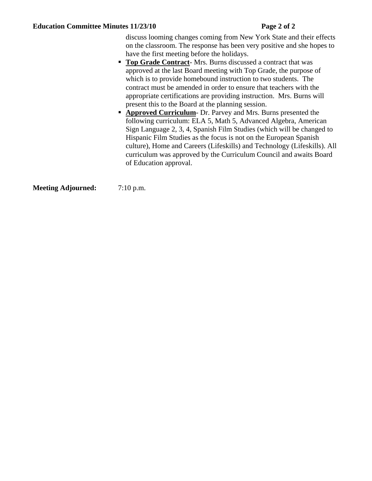#### Education Committee Minutes 11/23/10 Page 2 of 2

discuss looming changes coming from New York State and their effects on the classroom. The response has been very positive and she hopes to have the first meeting before the holidays.

- **Top Grade Contract-** Mrs. Burns discussed a contract that was approved at the last Board meeting with Top Grade, the purpose of which is to provide homebound instruction to two students. The contract must be amended in order to ensure that teachers with the appropriate certifications are providing instruction. Mrs. Burns will present this to the Board at the planning session.
- **Approved Curriculum** Dr. Parvey and Mrs. Burns presented the following curriculum: ELA 5, Math 5, Advanced Algebra, American Sign Language 2, 3, 4, Spanish Film Studies (which will be changed to Hispanic Film Studies as the focus is not on the European Spanish culture), Home and Careers (Lifeskills) and Technology (Lifeskills). All curriculum was approved by the Curriculum Council and awaits Board of Education approval.

**Meeting Adjourned:** 7:10 p.m.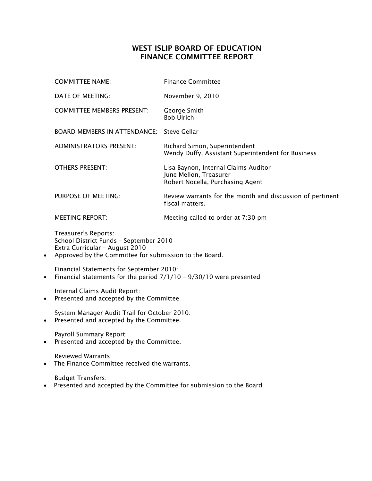### WEST ISLIP BOARD OF EDUCATION FINANCE COMMITTEE REPORT

|           | <b>COMMITTEE NAME:</b>                                                                                                                                     | <b>Finance Committee</b>                                                                           |  |  |  |
|-----------|------------------------------------------------------------------------------------------------------------------------------------------------------------|----------------------------------------------------------------------------------------------------|--|--|--|
|           | DATE OF MEETING:                                                                                                                                           | November 9, 2010                                                                                   |  |  |  |
|           | <b>COMMITTEE MEMBERS PRESENT:</b>                                                                                                                          | George Smith<br><b>Bob Ulrich</b>                                                                  |  |  |  |
|           | <b>BOARD MEMBERS IN ATTENDANCE:</b>                                                                                                                        | <b>Steve Gellar</b>                                                                                |  |  |  |
|           | <b>ADMINISTRATORS PRESENT:</b>                                                                                                                             | Richard Simon, Superintendent<br>Wendy Duffy, Assistant Superintendent for Business                |  |  |  |
|           | <b>OTHERS PRESENT:</b>                                                                                                                                     | Lisa Baynon, Internal Claims Auditor<br>June Mellon, Treasurer<br>Robert Nocella, Purchasing Agent |  |  |  |
|           | PURPOSE OF MEETING:                                                                                                                                        | Review warrants for the month and discussion of pertinent<br>fiscal matters.                       |  |  |  |
|           | <b>MEETING REPORT:</b>                                                                                                                                     | Meeting called to order at 7:30 pm                                                                 |  |  |  |
| $\bullet$ | Treasurer's Reports:<br>School District Funds - September 2010<br>Extra Curricular - August 2010<br>Approved by the Committee for submission to the Board. |                                                                                                    |  |  |  |
| $\bullet$ | Financial Statements for September 2010:<br>Financial statements for the period 7/1/10 - 9/30/10 were presented                                            |                                                                                                    |  |  |  |

Internal Claims Audit Report: • Presented and accepted by the Committee

System Manager Audit Trail for October 2010:

• Presented and accepted by the Committee.

Payroll Summary Report:

• Presented and accepted by the Committee.

Reviewed Warrants:

• The Finance Committee received the warrants.

Budget Transfers:

• Presented and accepted by the Committee for submission to the Board